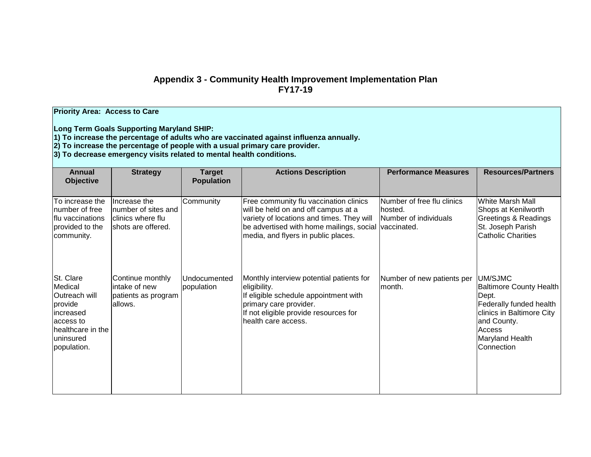## **Appendix 3 - Community Health Improvement Implementation Plan FY17-19**

| <b>Priority Area: Access to Care</b><br><b>Long Term Goals Supporting Maryland SHIP:</b><br>1) To increase the percentage of adults who are vaccinated against influenza annually.<br>$ 2 $ To increase the percentage of people with a usual primary care provider.<br>3) To decrease emergency visits related to mental health conditions. |                                                                                 |                                    |                                                                                                                                                                                                                           |                                                                |                                                                                                                                                                      |  |  |  |
|----------------------------------------------------------------------------------------------------------------------------------------------------------------------------------------------------------------------------------------------------------------------------------------------------------------------------------------------|---------------------------------------------------------------------------------|------------------------------------|---------------------------------------------------------------------------------------------------------------------------------------------------------------------------------------------------------------------------|----------------------------------------------------------------|----------------------------------------------------------------------------------------------------------------------------------------------------------------------|--|--|--|
| <b>Annual</b><br><b>Objective</b>                                                                                                                                                                                                                                                                                                            | <b>Strategy</b>                                                                 | <b>Target</b><br><b>Population</b> | <b>Actions Description</b>                                                                                                                                                                                                | <b>Performance Measures</b>                                    | <b>Resources/Partners</b>                                                                                                                                            |  |  |  |
| To increase the<br>Inumber of free<br>flu vaccinations<br>provided to the<br>community.                                                                                                                                                                                                                                                      | Increase the<br>Inumber of sites and<br>clinics where flu<br>shots are offered. | Community                          | Free community flu vaccination clinics<br>will be held on and off campus at a<br>variety of locations and times. They will<br>be advertised with home mailings, social vaccinated.<br>media, and flyers in public places. | Number of free flu clinics<br>hosted.<br>Number of individuals | White Marsh Mall<br>Shops at Kenilworth<br>Greetings & Readings<br>St. Joseph Parish<br>Catholic Charities                                                           |  |  |  |
| St. Clare<br>Medical<br>Outreach will<br>provide<br>increased<br>access to<br>healthcare in the<br>luninsured<br>population.                                                                                                                                                                                                                 | Continue monthly<br>intake of new<br>patients as program<br>allows.             | Undocumented<br>population         | Monthly interview potential patients for<br>eligibility.<br>If eligible schedule appointment with<br>primary care provider.<br>If not eligible provide resources for<br>health care access.                               | Number of new patients per<br>lmonth.                          | UM/SJMC<br><b>Baltimore County Health</b><br>Dept.<br>Federally funded health<br>clinics in Baltimore City<br>and County.<br>Access<br>Maryland Health<br>Connection |  |  |  |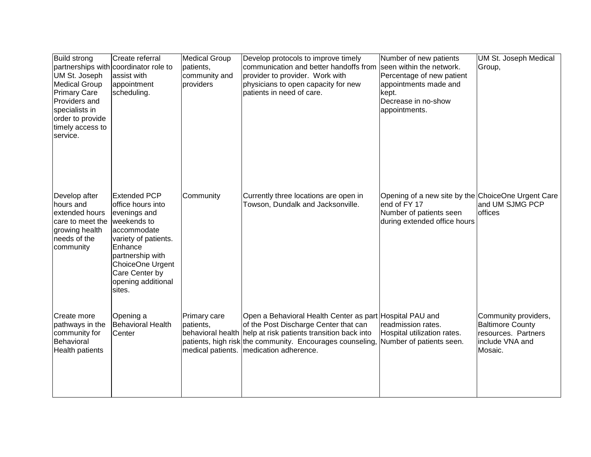| <b>Build strong</b><br>UM St. Joseph<br><b>Medical Group</b><br><b>Primary Care</b><br>Providers and<br>specialists in<br>order to provide<br>timely access to<br>service. | Create referral<br>partnerships with coordinator role to<br>assist with<br>appointment<br>scheduling.                                                                                                               | <b>Medical Group</b><br>patients,<br>community and<br>providers | Develop protocols to improve timely<br>communication and better handoffs from<br>provider to provider. Work with<br>physicians to open capacity for new<br>patients in need of care.                                                                                        | Number of new patients<br>seen within the network.<br>Percentage of new patient<br>appointments made and<br>kept.<br>Decrease in no-show<br>appointments. | <b>UM St. Joseph Medical</b><br>Group,                                                               |
|----------------------------------------------------------------------------------------------------------------------------------------------------------------------------|---------------------------------------------------------------------------------------------------------------------------------------------------------------------------------------------------------------------|-----------------------------------------------------------------|-----------------------------------------------------------------------------------------------------------------------------------------------------------------------------------------------------------------------------------------------------------------------------|-----------------------------------------------------------------------------------------------------------------------------------------------------------|------------------------------------------------------------------------------------------------------|
| Develop after<br>hours and<br>extended hours<br>care to meet the<br>growing health<br>needs of the<br>community                                                            | <b>Extended PCP</b><br>office hours into<br>evenings and<br>weekends to<br>accommodate<br>variety of patients.<br>Enhance<br>partnership with<br>ChoiceOne Urgent<br>Care Center by<br>opening additional<br>sites. | Community                                                       | Currently three locations are open in<br>Towson, Dundalk and Jacksonville.                                                                                                                                                                                                  | Opening of a new site by the ChoiceOne Urgent Care<br>end of FY 17<br>Number of patients seen<br>during extended office hours                             | and UM SJMG PCP<br>offices                                                                           |
| Create more<br>pathways in the<br>community for<br>Behavioral<br>Health patients                                                                                           | Opening a<br><b>Behavioral Health</b><br>Center                                                                                                                                                                     | Primary care<br>patients,                                       | Open a Behavioral Health Center as part Hospital PAU and<br>of the Post Discharge Center that can<br>behavioral health help at risk patients transition back into<br>patients, high risk the community. Encourages counseling,<br>medical patients.   medication adherence. | readmission rates.<br>Hospital utilization rates.<br>Number of patients seen.                                                                             | Community providers,<br><b>Baltimore County</b><br>resources. Partners<br>include VNA and<br>Mosaic. |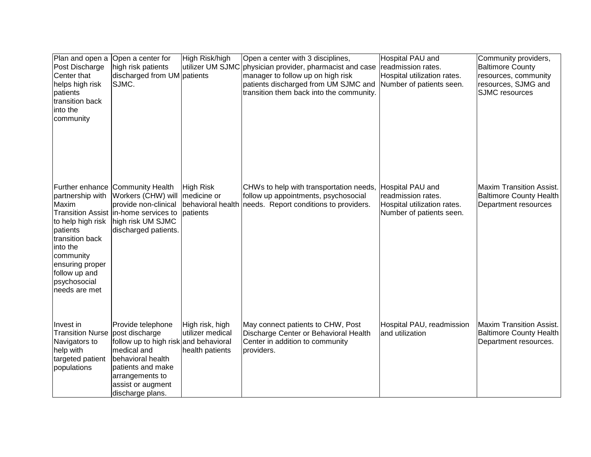| Post Discharge<br>Center that<br>helps high risk<br>patients<br>transition back<br>into the<br>community                                                                    | Plan and open a Open a center for<br>high risk patients<br>discharged from UM patients<br>SJMC.                                                                                 | High Risk/high                                         | Open a center with 3 disciplines,<br>utilizer UM SJMC physician provider, pharmacist and case<br>manager to follow up on high risk<br>patients discharged from UM SJMC and<br>transition them back into the community. | Hospital PAU and<br>readmission rates.<br>Hospital utilization rates.<br>Number of patients seen. | Community providers,<br><b>Baltimore County</b><br>resources, community<br>resources, SJMG and<br><b>SJMC</b> resources |
|-----------------------------------------------------------------------------------------------------------------------------------------------------------------------------|---------------------------------------------------------------------------------------------------------------------------------------------------------------------------------|--------------------------------------------------------|------------------------------------------------------------------------------------------------------------------------------------------------------------------------------------------------------------------------|---------------------------------------------------------------------------------------------------|-------------------------------------------------------------------------------------------------------------------------|
| partnership with<br>Maxim<br>to help high risk<br>patients<br>transition back<br>into the<br>community<br>ensuring proper<br>follow up and<br>psychosocial<br>needs are met | Further enhance Community Health<br>Workers (CHW) will<br>provide non-clinical<br>Transition Assist in-home services to<br>high risk UM SJMC<br>discharged patients.            | <b>High Risk</b><br>medicine or<br>patients            | CHWs to help with transportation needs, Hospital PAU and<br>follow up appointments, psychosocial<br>behavioral health needs. Report conditions to providers.                                                           | readmission rates.<br>Hospital utilization rates.<br>Number of patients seen.                     | Maxim Transition Assist.<br><b>Baltimore County Health</b><br>Department resources                                      |
| Invest in<br>Transition Nurse post discharge<br>Navigators to<br>help with<br>targeted patient<br>populations                                                               | Provide telephone<br>follow up to high risk and behavioral<br>medical and<br>behavioral health<br>patients and make<br>arrangements to<br>assist or augment<br>discharge plans. | High risk, high<br>utilizer medical<br>health patients | May connect patients to CHW, Post<br>Discharge Center or Behavioral Health<br>Center in addition to community<br>providers.                                                                                            | Hospital PAU, readmission<br>and utilization                                                      | <b>Maxim Transition Assist.</b><br><b>Baltimore County Health</b><br>Department resources.                              |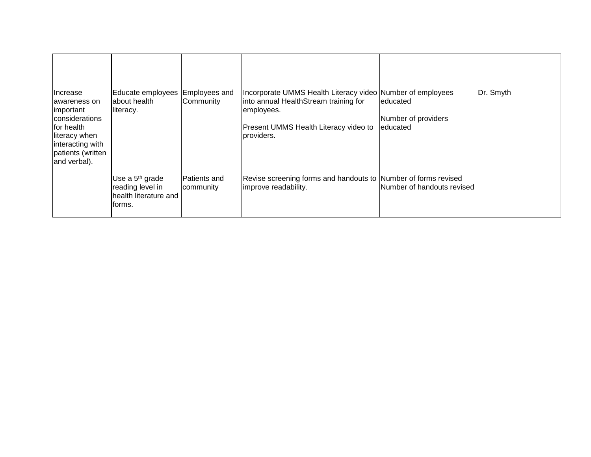| <b>Increase</b><br>lawareness on<br>important<br>considerations<br>for health<br>literacy when<br>interacting with<br>patients (written<br>and verbal). | Educate employees<br>labout health<br>literacy.                                    | Employees and<br>Community       | Incorporate UMMS Health Literacy video Number of employees<br>into annual HealthStream training for<br>employees.<br>Present UMMS Health Literacy video to<br>providers. | leducated<br>Number of providers<br>leducated | Dr. Smyth |
|---------------------------------------------------------------------------------------------------------------------------------------------------------|------------------------------------------------------------------------------------|----------------------------------|--------------------------------------------------------------------------------------------------------------------------------------------------------------------------|-----------------------------------------------|-----------|
|                                                                                                                                                         | Use a 5 <sup>th</sup> grade<br>reading level in<br>health literature and<br>forms. | <b>Patients and</b><br>community | Revise screening forms and handouts to Number of forms revised<br>improve readability.                                                                                   | Number of handouts revised                    |           |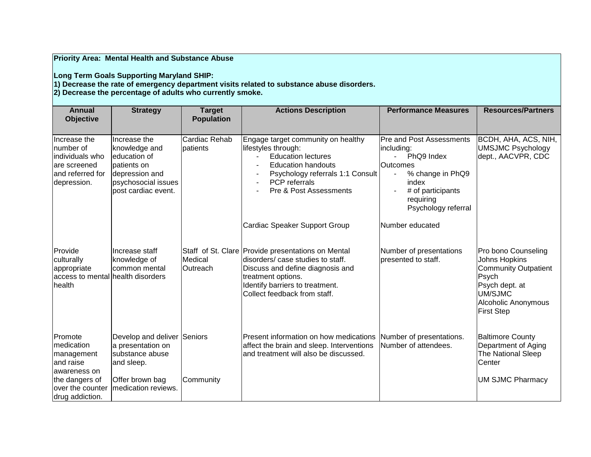**Priority Area: Mental Health and Substance Abuse** 

**Long Term Goals Supporting Maryland SHIP:**

**1) Decrease the rate of emergency department visits related to substance abuse disorders.** 

**2) Decrease the percentage of adults who currently smoke.** 

| <b>Annual</b><br><b>Objective</b>                                                                                         | <b>Strategy</b>                                                                                                              | <b>Target</b><br><b>Population</b> | <b>Actions Description</b>                                                                                                                                                                                             | <b>Performance Measures</b>                                                                                                                                                            | <b>Resources/Partners</b>                                                                                                                      |
|---------------------------------------------------------------------------------------------------------------------------|------------------------------------------------------------------------------------------------------------------------------|------------------------------------|------------------------------------------------------------------------------------------------------------------------------------------------------------------------------------------------------------------------|----------------------------------------------------------------------------------------------------------------------------------------------------------------------------------------|------------------------------------------------------------------------------------------------------------------------------------------------|
| Increase the<br>number of<br>individuals who<br>are screened<br>and referred for<br>depression.                           | Increase the<br>knowledge and<br>education of<br>patients on<br>depression and<br>psychosocial issues<br>post cardiac event. | Cardiac Rehab<br>patients          | Engage target community on healthy<br>lifestyles through:<br><b>Education lectures</b><br><b>Education handouts</b><br>Psychology referrals 1:1 Consult<br><b>PCP</b> referrals<br>Pre & Post Assessments              | <b>Pre and Post Assessments</b><br>including:<br>PhQ9 Index<br><b>Outcomes</b><br>% change in PhQ9<br>$\blacksquare$<br>index<br># of participants<br>requiring<br>Psychology referral | BCDH, AHA, ACS, NIH,<br><b>UMSJMC Psychology</b><br>dept., AACVPR, CDC                                                                         |
|                                                                                                                           |                                                                                                                              |                                    | Cardiac Speaker Support Group                                                                                                                                                                                          | Number educated                                                                                                                                                                        |                                                                                                                                                |
| Provide<br>culturally<br>appropriate<br>health                                                                            | Increase staff<br>knowledge of<br>common mental<br>access to mental health disorders                                         | Medical<br>Outreach                | Staff of St. Clare   Provide presentations on Mental<br>disorders/ case studies to staff.<br>Discuss and define diagnosis and<br>treatment options.<br>Identify barriers to treatment.<br>Collect feedback from staff. | Number of presentations<br>presented to staff.                                                                                                                                         | Pro bono Counseling<br>Johns Hopkins<br><b>Community Outpatient</b><br>Psych<br>Psych dept. at<br>UM/SJMC<br>Alcoholic Anonymous<br>First Step |
| Promote<br>medication<br>management<br>and raise<br>awareness on<br>the dangers of<br>over the counter<br>drug addiction. | Develop and deliver Seniors<br>a presentation on<br>substance abuse<br>and sleep.<br>Offer brown bag<br>Imedication reviews. | Community                          | Present information on how medications<br>affect the brain and sleep. Interventions<br>and treatment will also be discussed.                                                                                           | Number of presentations.<br>Number of attendees.                                                                                                                                       | <b>Baltimore County</b><br>Department of Aging<br>The National Sleep<br>Center<br><b>UM SJMC Pharmacy</b>                                      |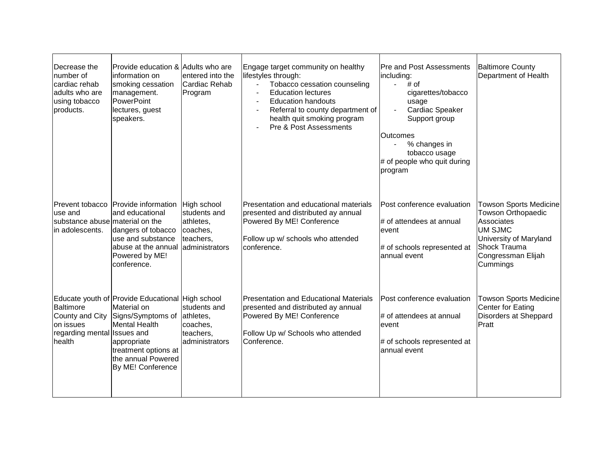| lDecrease the<br>number of<br>cardiac rehab<br>adults who are<br>using tobacco<br>products. | Provide education & Adults who are<br>information on<br>smoking cessation<br>management.<br>PowerPoint<br>lectures, guest<br>speakers.                                                         | entered into the<br>Cardiac Rehab<br>Program                         | Engage target community on healthy<br>lifestyles through:<br>Tobacco cessation counseling<br><b>Education lectures</b><br>$\sim$<br><b>Education handouts</b><br>$\blacksquare$<br>Referral to county department of<br>health quit smoking program<br>Pre & Post Assessments | <b>Pre and Post Assessments</b><br>including:<br># of<br>$\blacksquare$<br>cigarettes/tobacco<br>usage<br>Cardiac Speaker<br>$\overline{\phantom{a}}$<br>Support group<br>Outcomes<br>% changes in<br>tobacco usage<br># of people who quit during<br>program | <b>Baltimore County</b><br>Department of Health                                                                                                                               |
|---------------------------------------------------------------------------------------------|------------------------------------------------------------------------------------------------------------------------------------------------------------------------------------------------|----------------------------------------------------------------------|------------------------------------------------------------------------------------------------------------------------------------------------------------------------------------------------------------------------------------------------------------------------------|---------------------------------------------------------------------------------------------------------------------------------------------------------------------------------------------------------------------------------------------------------------|-------------------------------------------------------------------------------------------------------------------------------------------------------------------------------|
| Prevent tobacco<br>use and<br>substance abuse material on the<br>in adolescents.            | Provide information High school<br>and educational<br>dangers of tobacco<br>use and substance<br>abuse at the annual<br>Powered by ME!<br>conference.                                          | students and<br>athletes,<br>coaches,<br>teachers,<br>administrators | Presentation and educational materials<br>presented and distributed ay annual<br>Powered By ME! Conference<br>Follow up w/ schools who attended<br>conference.                                                                                                               | Post conference evaluation<br># of attendees at annual<br>event<br># of schools represented at<br>annual event                                                                                                                                                | <b>Towson Sports Medicine</b><br><b>Towson Orthopaedic</b><br>Associates<br><b>UM SJMC</b><br>University of Maryland<br><b>Shock Trauma</b><br>Congressman Elijah<br>Cummings |
| <b>Baltimore</b><br>County and City<br>on issues<br>regarding mental Issues and<br>health   | Educate youth of Provide Educational High school<br>Material on<br>Signs/Symptoms of<br><b>Mental Health</b><br>appropriate<br>treatment options at<br>the annual Powered<br>By ME! Conference | students and<br>athletes,<br>coaches,<br>teachers,<br>administrators | <b>Presentation and Educational Materials</b><br>presented and distributed ay annual<br>Powered By ME! Conference<br>Follow Up w/ Schools who attended<br>Conference.                                                                                                        | Post conference evaluation<br># of attendees at annual<br>event<br># of schools represented at<br>annual event                                                                                                                                                | <b>Towson Sports Medicine</b><br>Center for Eating<br>Disorders at Sheppard<br>Pratt                                                                                          |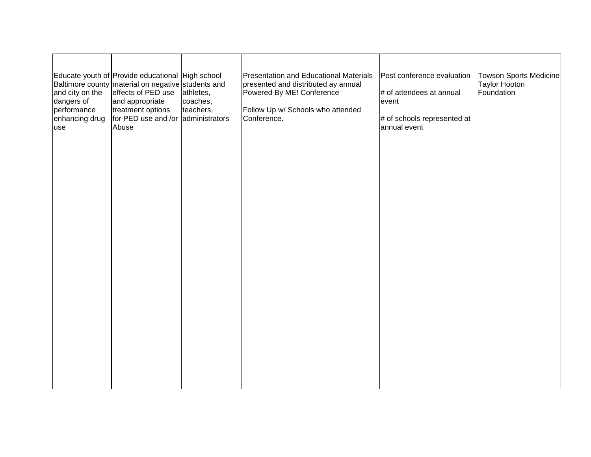| and city on the<br>dangers of<br>performance<br>enhancing drug<br>use | Educate youth of Provide educational High school<br>Baltimore county material on negative students and<br>effects of PED use<br>and appropriate<br>treatment options<br>for PED use and /or administrators<br>Abuse | athletes,<br>coaches,<br>teachers, | Presentation and Educational Materials<br>presented and distributed ay annual<br>Powered By ME! Conference<br>Follow Up w/ Schools who attended<br>Conference. | Post conference evaluation<br># of attendees at annual<br>event<br># of schools represented at<br>annual event | Towson Sports Medicine<br><b>Taylor Hooton</b><br>Foundation |
|-----------------------------------------------------------------------|---------------------------------------------------------------------------------------------------------------------------------------------------------------------------------------------------------------------|------------------------------------|----------------------------------------------------------------------------------------------------------------------------------------------------------------|----------------------------------------------------------------------------------------------------------------|--------------------------------------------------------------|
|                                                                       |                                                                                                                                                                                                                     |                                    |                                                                                                                                                                |                                                                                                                |                                                              |
|                                                                       |                                                                                                                                                                                                                     |                                    |                                                                                                                                                                |                                                                                                                |                                                              |
|                                                                       |                                                                                                                                                                                                                     |                                    |                                                                                                                                                                |                                                                                                                |                                                              |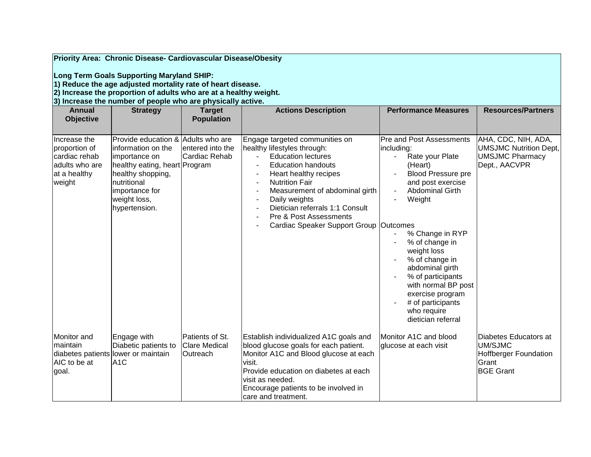| Priority Area: Chronic Disease- Cardiovascular Disease/Obesity<br><b>Long Term Goals Supporting Maryland SHIP:</b><br>1) Reduce the age adjusted mortality rate of heart disease.<br>2) Increase the proportion of adults who are at a healthy weight.<br>3) Increase the number of people who are physically active. |                                                                                                                                                                                                    |                                                     |                                                                                                                                                                                                                                                                                                                                                       |                                                                                                                                                                                                                                                                                                                                                                                                 |                                                                                                 |  |  |  |  |
|-----------------------------------------------------------------------------------------------------------------------------------------------------------------------------------------------------------------------------------------------------------------------------------------------------------------------|----------------------------------------------------------------------------------------------------------------------------------------------------------------------------------------------------|-----------------------------------------------------|-------------------------------------------------------------------------------------------------------------------------------------------------------------------------------------------------------------------------------------------------------------------------------------------------------------------------------------------------------|-------------------------------------------------------------------------------------------------------------------------------------------------------------------------------------------------------------------------------------------------------------------------------------------------------------------------------------------------------------------------------------------------|-------------------------------------------------------------------------------------------------|--|--|--|--|
| <b>Annual</b><br><b>Objective</b>                                                                                                                                                                                                                                                                                     | <b>Strategy</b>                                                                                                                                                                                    | <b>Target</b><br><b>Population</b>                  | <b>Actions Description</b>                                                                                                                                                                                                                                                                                                                            | <b>Performance Measures</b>                                                                                                                                                                                                                                                                                                                                                                     | <b>Resources/Partners</b>                                                                       |  |  |  |  |
| Increase the<br>proportion of<br>cardiac rehab<br>adults who are<br>at a healthy<br>weight                                                                                                                                                                                                                            | Provide education & Adults who are<br>linformation on the<br>importance on<br>healthy eating, heart Program<br>healthy shopping,<br>nutritional<br>importance for<br>weight loss,<br>hypertension. | entered into the<br>Cardiac Rehab                   | Engage targeted communities on<br>healthy lifestyles through:<br><b>Education lectures</b><br><b>Education handouts</b><br>Heart healthy recipes<br><b>Nutrition Fair</b><br>Measurement of abdominal girth<br>$\blacksquare$<br>Daily weights<br>Dietician referrals 1:1 Consult<br>Pre & Post Assessments<br>Cardiac Speaker Support Group Outcomes | Pre and Post Assessments<br>including:<br>Rate your Plate<br>$\blacksquare$<br>(Heart)<br><b>Blood Pressure pre</b><br>and post exercise<br><b>Abdominal Girth</b><br>Weight<br>% Change in RYP<br>% of change in<br>weight loss<br>% of change in<br>abdominal girth<br>% of participants<br>with normal BP post<br>exercise program<br># of participants<br>who require<br>dietician referral | AHA, CDC, NIH, ADA,<br><b>UMSJMC Nutrition Dept,</b><br><b>UMSJMC Pharmacy</b><br>Dept., AACVPR |  |  |  |  |
| Monitor and<br>maintain<br>AIC to be at<br>goal.                                                                                                                                                                                                                                                                      | Engage with<br>Diabetic patients to<br>diabetes patients lower or maintain<br>A <sub>1</sub> C                                                                                                     | Patients of St.<br><b>Clare Medical</b><br>Outreach | Establish individualized A1C goals and<br>blood glucose goals for each patient.<br>Monitor A1C and Blood glucose at each<br>visit.<br>Provide education on diabetes at each<br>visit as needed.<br>Encourage patients to be involved in<br>care and treatment.                                                                                        | Monitor A1C and blood<br>glucose at each visit                                                                                                                                                                                                                                                                                                                                                  | Diabetes Educators at<br>UM/SJMC<br><b>Hoffberger Foundation</b><br>Grant<br><b>BGE Grant</b>   |  |  |  |  |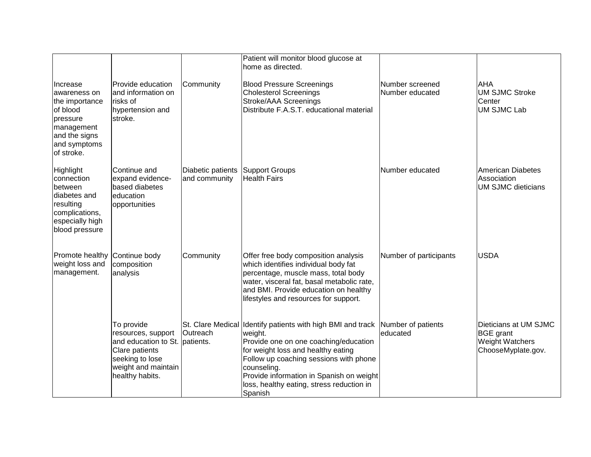|                                                                                                                                   |                                                                                                                                                   |                                    | Patient will monitor blood glucose at<br>home as directed.                                                                                                                                                                                                                                                         |                                    |                                                                                    |
|-----------------------------------------------------------------------------------------------------------------------------------|---------------------------------------------------------------------------------------------------------------------------------------------------|------------------------------------|--------------------------------------------------------------------------------------------------------------------------------------------------------------------------------------------------------------------------------------------------------------------------------------------------------------------|------------------------------------|------------------------------------------------------------------------------------|
| Ilncrease<br>awareness on<br>the importance<br>of blood<br>Ipressure<br>management<br>and the signs<br>and symptoms<br>of stroke. | Provide education<br>and information on<br>risks of<br>hypertension and<br>stroke.                                                                | Community                          | <b>Blood Pressure Screenings</b><br><b>Cholesterol Screenings</b><br>Stroke/AAA Screenings<br>Distribute F.A.S.T. educational material                                                                                                                                                                             | Number screened<br>Number educated | <b>AHA</b><br><b>UM SJMC Stroke</b><br>Center<br><b>UM SJMC Lab</b>                |
| <b>Highlight</b><br>connection<br>between<br>diabetes and<br>resulting<br>complications,<br>especially high<br>blood pressure     | Continue and<br>expand evidence-<br>based diabetes<br>education<br>opportunities                                                                  | Diabetic patients<br>and community | Support Groups<br><b>Health Fairs</b>                                                                                                                                                                                                                                                                              | Number educated                    | <b>American Diabetes</b><br>Association<br><b>UM SJMC dieticians</b>               |
| Promote healthy Continue body<br>weight loss and<br>management.                                                                   | composition<br>analysis                                                                                                                           | Community                          | Offer free body composition analysis<br>which identifies individual body fat<br>percentage, muscle mass, total body<br>water, visceral fat, basal metabolic rate,<br>and BMI. Provide education on healthy<br>lifestyles and resources for support.                                                                | Number of participants             | <b>USDA</b>                                                                        |
|                                                                                                                                   | To provide<br>resources, support<br>and education to St. patients.<br>Clare patients<br>seeking to lose<br>weight and maintain<br>healthy habits. | Outreach                           | St. Clare Medical Identify patients with high BMI and track<br>weight.<br>Provide one on one coaching/education<br>for weight loss and healthy eating<br>Follow up coaching sessions with phone<br>counseling.<br>Provide information in Spanish on weight<br>loss, healthy eating, stress reduction in<br>Spanish | Number of patients<br>educated     | Dieticians at UM SJMC<br><b>BGE</b> grant<br>Weight Watchers<br>ChooseMyplate.gov. |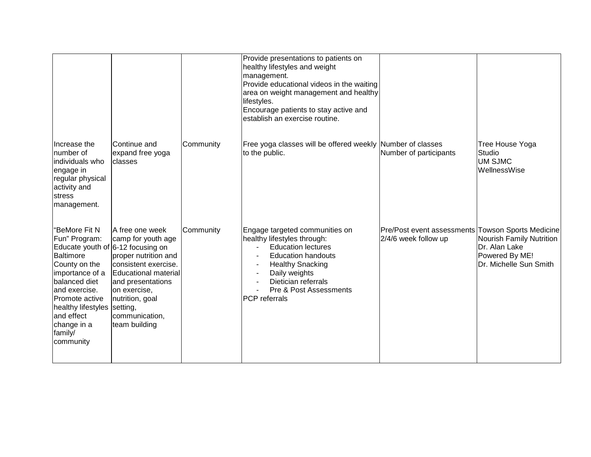|                                                                                                                                                                                                                                                               |                                                                                                                                                                                                           |           | Provide presentations to patients on<br>healthy lifestyles and weight<br>management.<br>Provide educational videos in the waiting<br>area on weight management and healthy<br>lifestyles.<br>Encourage patients to stay active and<br>establish an exercise routine. |                                                                           |                                                                                               |
|---------------------------------------------------------------------------------------------------------------------------------------------------------------------------------------------------------------------------------------------------------------|-----------------------------------------------------------------------------------------------------------------------------------------------------------------------------------------------------------|-----------|----------------------------------------------------------------------------------------------------------------------------------------------------------------------------------------------------------------------------------------------------------------------|---------------------------------------------------------------------------|-----------------------------------------------------------------------------------------------|
| Increase the<br>number of<br>lindividuals who<br>engage in<br>regular physical<br>activity and<br><b>stress</b><br>management.                                                                                                                                | Continue and<br>expand free yoga<br>classes                                                                                                                                                               | Community | Free yoga classes will be offered weekly Number of classes<br>to the public.                                                                                                                                                                                         | Number of participants                                                    | Tree House Yoga<br>Studio<br><b>UM SJMC</b><br>WellnessWise                                   |
| "BeMore Fit N<br>Fun" Program:<br>Educate youth of 6-12 focusing on<br>Baltimore<br>County on the<br>importance of a<br>balanced diet<br>and exercise.<br>Promote active<br>healthy lifestyles setting,<br>land effect<br>change in a<br>family/<br>community | IA free one week<br>camp for youth age<br>proper nutrition and<br>consistent exercise.<br>Educational material<br>and presentations<br>on exercise,<br>nutrition, goal<br>communication,<br>team building | Community | Engage targeted communities on<br>healthy lifestyles through:<br><b>Education lectures</b><br><b>Education handouts</b><br><b>Healthy Snacking</b><br>Daily weights<br>Dietician referrals<br>Pre & Post Assessments<br><b>PCP</b> referrals                         | Pre/Post event assessments Towson Sports Medicine<br>2/4/6 week follow up | Nourish Family Nutrition<br>Dr. Alan Lake<br>Powered By ME!<br><b>IDr. Michelle Sun Smith</b> |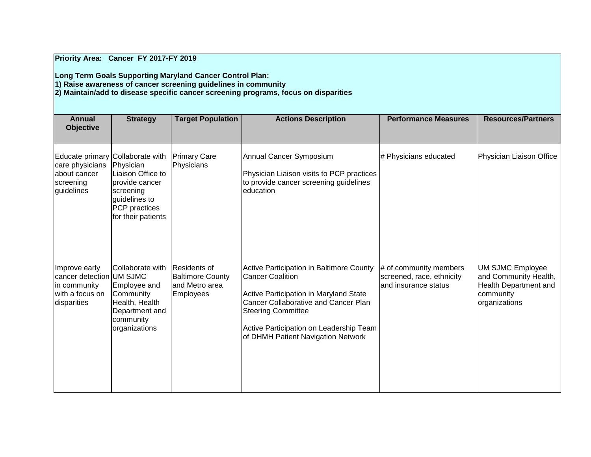**Priority Area: Cancer FY 2017-FY 2019**

**Long Term Goals Supporting Maryland Cancer Control Plan:**

**1) Raise awareness of cancer screening guidelines in community**

**2) Maintain/add to disease specific cancer screening programs, focus on disparities**

| <b>Annual</b><br><b>Objective</b>                                                           | <b>Strategy</b>                                                                                                                           | <b>Target Population</b>                                                      | <b>Actions Description</b>                                                                                                                                                                                                                                                 | <b>Performance Measures</b>                                                 | <b>Resources/Partners</b>                                                                               |
|---------------------------------------------------------------------------------------------|-------------------------------------------------------------------------------------------------------------------------------------------|-------------------------------------------------------------------------------|----------------------------------------------------------------------------------------------------------------------------------------------------------------------------------------------------------------------------------------------------------------------------|-----------------------------------------------------------------------------|---------------------------------------------------------------------------------------------------------|
| Educate primary<br>care physicians<br>about cancer<br>screening<br>guidelines               | Collaborate with<br>Physician<br>Liaison Office to<br>provide cancer<br>screening<br>quidelines to<br>PCP practices<br>for their patients | <b>Primary Care</b><br>Physicians                                             | Annual Cancer Symposium<br>Physician Liaison visits to PCP practices<br>to provide cancer screening guidelines<br>education                                                                                                                                                | # Physicians educated                                                       | Physician Liaison Office                                                                                |
| Improve early<br>cancer detection UM SJMC<br>in community<br>with a focus on<br>disparities | Collaborate with<br>Employee and<br>Community<br>Health, Health<br>Department and<br>community<br>organizations                           | Residents of<br><b>Baltimore County</b><br>and Metro area<br><b>Employees</b> | Active Participation in Baltimore County<br><b>Cancer Coalition</b><br>Active Participation in Maryland State<br><b>Cancer Collaborative and Cancer Plan</b><br><b>Steering Committee</b><br>Active Participation on Leadership Team<br>of DHMH Patient Navigation Network | # of community members<br>screened, race, ethnicity<br>and insurance status | <b>UM SJMC Employee</b><br>and Community Health,<br>Health Department and<br>community<br>organizations |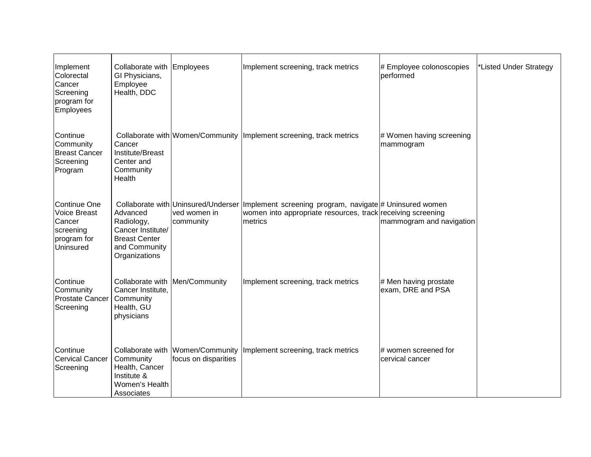| Implement<br>Colorectal<br>Cancer<br>Screening<br>program for<br><b>Employees</b> | Collaborate with Employees<br>GI Physicians,<br>Employee<br>Health, DDC                               |                                         | Implement screening, track metrics                                                                                                                                    | # Employee colonoscopies<br>performed      | *Listed Under Strategy |
|-----------------------------------------------------------------------------------|-------------------------------------------------------------------------------------------------------|-----------------------------------------|-----------------------------------------------------------------------------------------------------------------------------------------------------------------------|--------------------------------------------|------------------------|
| Continue<br>Community<br><b>Breast Cancer</b><br>Screening<br>Program             | Cancer<br>Institute/Breast<br>Center and<br>Community<br>Health                                       |                                         | Collaborate with Women/Community   Implement screening, track metrics                                                                                                 | # Women having screening<br>mammogram      |                        |
| Continue One<br>Voice Breast<br>Cancer<br>screening<br>program for<br>Uninsured   | Advanced<br>Radiology,<br>Cancer Institute/<br><b>Breast Center</b><br>and Community<br>Organizations | ved women in<br>community               | Collaborate with Uninsured/Underser Implement screening program, navigate # Uninsured women<br>women into appropriate resources, track receiving screening<br>metrics | mammogram and navigation                   |                        |
| Continue<br>Community<br><b>Prostate Cancer</b><br>Screening                      | Collaborate with   Men/Community<br>Cancer Institute.<br>Community<br>Health, GU<br>physicians        |                                         | Implement screening, track metrics                                                                                                                                    | # Men having prostate<br>exam, DRE and PSA |                        |
| Continue<br><b>Cervical Cancer</b><br>Screening                                   | Collaborate with<br>Community<br>Health, Cancer<br>Institute &<br>Women's Health<br>Associates        | Women/Community<br>focus on disparities | Implement screening, track metrics                                                                                                                                    | # women screened for<br>cervical cancer    |                        |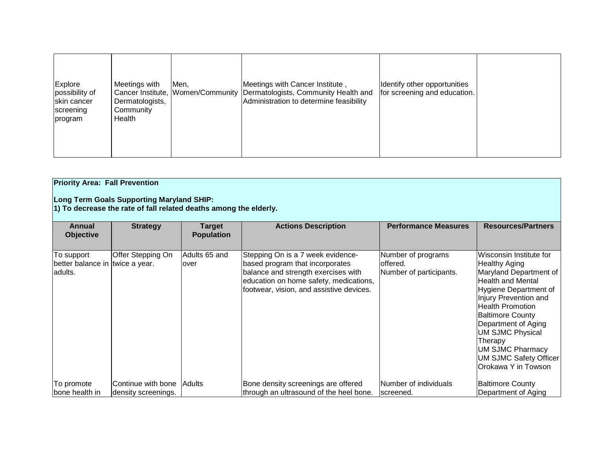| Explore<br>possibility of<br>skin cancer<br>screening<br>program | Meetings with<br>Dermatologists,<br>Community<br>Health | Men, | Meetings with Cancer Institute,<br>Cancer Institute, Women/Community Dermatologists, Community Health and<br>Administration to determine feasibility | Identify other opportunities<br>for screening and education. |  |
|------------------------------------------------------------------|---------------------------------------------------------|------|------------------------------------------------------------------------------------------------------------------------------------------------------|--------------------------------------------------------------|--|
|------------------------------------------------------------------|---------------------------------------------------------|------|------------------------------------------------------------------------------------------------------------------------------------------------------|--------------------------------------------------------------|--|

| <b>Priority Area: Fall Prevention</b><br>Long Term Goals Supporting Maryland SHIP:<br>1) To decrease the rate of fall related deaths among the elderly. |                                                  |                                    |                                                                                                                                                                                                   |                                                           |                                                                                                                                                                                                                                                                                                                                          |  |  |  |
|---------------------------------------------------------------------------------------------------------------------------------------------------------|--------------------------------------------------|------------------------------------|---------------------------------------------------------------------------------------------------------------------------------------------------------------------------------------------------|-----------------------------------------------------------|------------------------------------------------------------------------------------------------------------------------------------------------------------------------------------------------------------------------------------------------------------------------------------------------------------------------------------------|--|--|--|
| Annual<br><b>Objective</b>                                                                                                                              | <b>Strategy</b>                                  | <b>Target</b><br><b>Population</b> | <b>Actions Description</b>                                                                                                                                                                        | <b>Performance Measures</b>                               | <b>Resources/Partners</b>                                                                                                                                                                                                                                                                                                                |  |  |  |
| To support<br>better balance in twice a year.<br>adults.                                                                                                | Offer Stepping On                                | Adults 65 and<br>over              | Stepping On is a 7 week evidence-<br>based program that incorporates<br>balance and strength exercises with<br>education on home safety, medications,<br>footwear, vision, and assistive devices. | Number of programs<br>offered.<br>Number of participants. | Wisconsin Institute for<br><b>Healthy Aging</b><br>Maryland Department of<br>Health and Mental<br><b>Hygiene Department of</b><br>Injury Prevention and<br>Health Promotion<br><b>Baltimore County</b><br>Department of Aging<br><b>UM SJMC Physical</b><br>Therapy<br>UM SJMC Pharmacy<br>UM SJMC Safety Officer<br>Orokawa Y in Towson |  |  |  |
| To promote<br>bone health in                                                                                                                            | Continue with bone Adults<br>density screenings. |                                    | Bone density screenings are offered<br>through an ultrasound of the heel bone.                                                                                                                    | Number of individuals<br>screened.                        | <b>Baltimore County</b><br>Department of Aging                                                                                                                                                                                                                                                                                           |  |  |  |